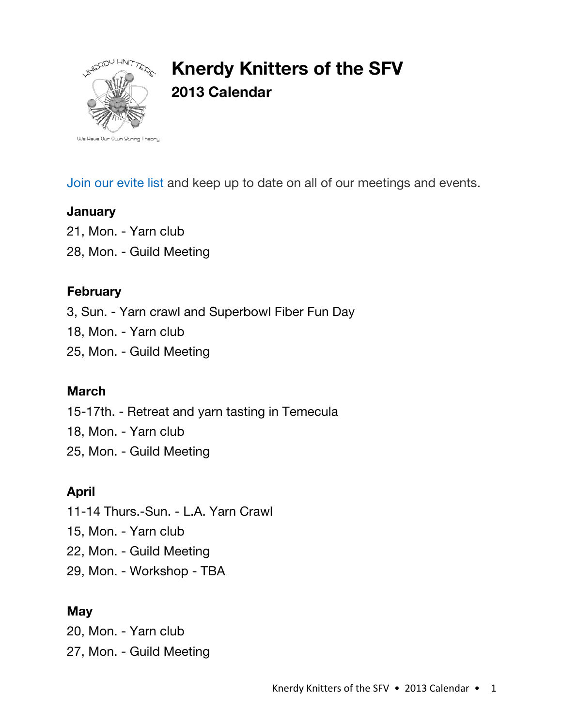

# **Knerdy Knitters of the SFV 2013 Calendar**

Join our evite list and keep up to date on all of our meetings and events.

#### **January**

21, Mon. - Yarn club

28, Mon. - Guild Meeting

#### **February**

3, Sun. - Yarn crawl and Superbowl Fiber Fun Day

18, Mon. - Yarn club

25, Mon. - Guild Meeting

#### **March**

15-17th. - Retreat and yarn tasting in Temecula

18, Mon. - Yarn club

25, Mon. - Guild Meeting

# **April**

11-14 Thurs.-Sun. - L.A. Yarn Crawl

15, Mon. - Yarn club

22, Mon. - Guild Meeting

29, Mon. - Workshop - TBA

# **May**

20, Mon. - Yarn club 27, Mon. - Guild Meeting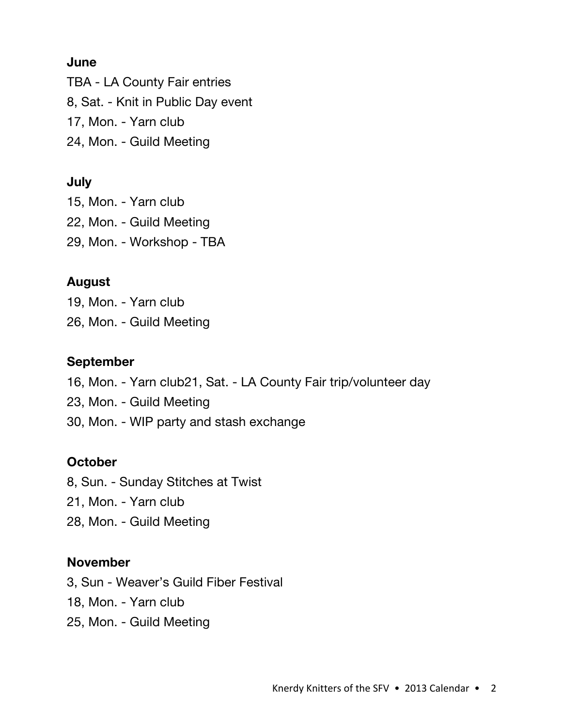#### **June**

TBA - LA County Fair entries

8, Sat. - Knit in Public Day event

17, Mon. - Yarn club

24, Mon. - Guild Meeting

# **July**

15, Mon. - Yarn club

22, Mon. - Guild Meeting

29, Mon. - Workshop - TBA

# **August**

19, Mon. - Yarn club

26, Mon. - Guild Meeting

### **September**

- 16, Mon. Yarn club21, Sat. LA County Fair trip/volunteer day
- 23, Mon. Guild Meeting
- 30, Mon. WIP party and stash exchange

# **October**

8, Sun. - Sunday Stitches at Twist

- 21, Mon. Yarn club
- 28, Mon. Guild Meeting

#### **November**

3, Sun - Weaver's Guild Fiber Festival

18, Mon. - Yarn club

25, Mon. - Guild Meeting